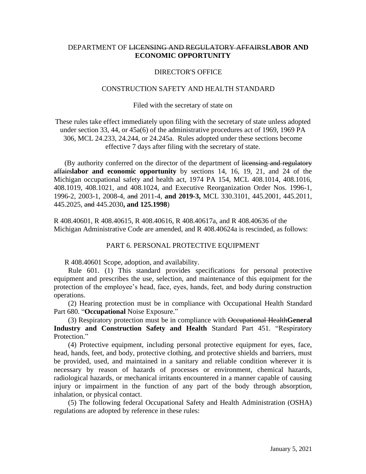# DEPARTMENT OF LICENSING AND REGULATORY AFFAIRS**LABOR AND ECONOMIC OPPORTUNITY**

## DIRECTOR'S OFFICE

## CONSTRUCTION SAFETY AND HEALTH STANDARD

### Filed with the secretary of state on

These rules take effect immediately upon filing with the secretary of state unless adopted under section 33, 44, or 45a(6) of the administrative procedures act of 1969, 1969 PA 306, MCL 24.233, 24.244, or 24.245a. Rules adopted under these sections become effective 7 days after filing with the secretary of state.

(By authority conferred on the director of the department of licensing and regulatory affairs**labor and economic opportunity** by sections 14, 16, 19, 21, and 24 of the Michigan occupational safety and health act, 1974 PA 154, MCL 408.1014, 408.1016, 408.1019, 408.1021, and 408.1024, and Executive Reorganization Order Nos. 1996-1, 1996-2, 2003-1, 2008-4, and 2011-4, **and 2019-3,** MCL 330.3101, 445.2001, 445.2011, 445.2025, and 445.2030**, and 125.1998**)

R 408.40601, R 408.40615, R 408.40616, R 408.40617a, and R 408.40636 of the Michigan Administrative Code are amended, and R 408.40624a is rescinded, as follows:

### PART 6. PERSONAL PROTECTIVE EQUIPMENT

R 408.40601 Scope, adoption, and availability.

 Rule 601. (1) This standard provides specifications for personal protective equipment and prescribes the use, selection, and maintenance of this equipment for the protection of the employee's head, face, eyes, hands, feet, and body during construction operations.

 (2) Hearing protection must be in compliance with Occupational Health Standard Part 680. "**Occupational** Noise Exposure."

 (3) Respiratory protection must be in compliance with Occupational Health**General Industry and Construction Safety and Health** Standard Part 451. "Respiratory Protection."

 (4) Protective equipment, including personal protective equipment for eyes, face, head, hands, feet, and body, protective clothing, and protective shields and barriers, must be provided, used, and maintained in a sanitary and reliable condition wherever it is necessary by reason of hazards of processes or environment, chemical hazards, radiological hazards, or mechanical irritants encountered in a manner capable of causing injury or impairment in the function of any part of the body through absorption, inhalation, or physical contact.

 (5) The following federal Occupational Safety and Health Administration (OSHA) regulations are adopted by reference in these rules: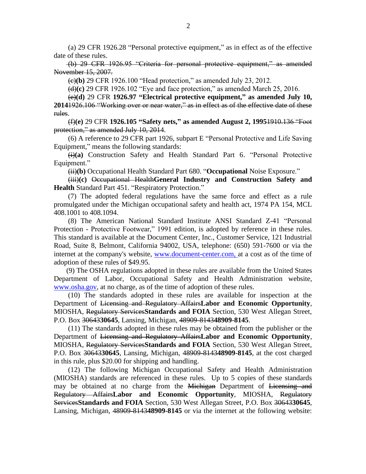(a) 29 CFR 1926.28 "Personal protective equipment," as in effect as of the effective date of these rules.

(b) 29 CFR 1926.95 "Criteria for personal protective equipment," as amended November 15, 2007.

(c)**(b)** 29 CFR 1926.100 "Head protection," as amended July 23, 2012.

(d)**(c)** 29 CFR 1926.102 "Eye and face protection," as amended March 25, 2016.

 (e)**(d)** 29 CFR **1926.97 "Electrical protective equipment," as amended July 10, 2014**1926.106 "Working over or near water," as in effect as of the effective date of these rules.

(f)**(e)** 29 CFR **1926.105 "Safety nets," as amended August 2, 1995**1910.136 "Foot protection," as amended July 10, 2014.

 (6) A reference to 29 CFR part 1926, subpart E "Personal Protective and Life Saving Equipment," means the following standards:

 (i)**(a)** Construction Safety and Health Standard Part 6. "Personal Protective Equipment."

(ii)**(b)** Occupational Health Standard Part 680. "**Occupational** Noise Exposure."

 (iii)**(c)** Occupational Health**General Industry and Construction Safety and Health** Standard Part 451. "Respiratory Protection."

(7) The adopted federal regulations have the same force and effect as a rule promulgated under the Michigan occupational safety and health act, 1974 PA 154, MCL 408.1001 to 408.1094.

 (8) The American National Standard Institute ANSI Standard Z-41 "Personal Protection - Protective Footwear," 1991 edition, is adopted by reference in these rules. This standard is available at the Document Center, Inc., Customer Service, 121 Industrial Road, Suite 8, Belmont, California 94002, USA, telephone: (650) 591-7600 or via the internet at the company's website, [www.document-center.com,](http://www.documentcenter.com/) at a cost as of the time of adoption of these rules of \$49.95.

(9) The OSHA regulations adopted in these rules are available from the United States Department of Labor, Occupational Safety and Health Administration website, www.osha.gov, at no charge, as of the time of adoption of these rules.

 (10) The standards adopted in these rules are available for inspection at the Department of Licensing and Regulatory Affairs**Labor and Economic Opportunity**, MIOSHA, Regulatory Services**Standards and FOIA** Section, 530 West Allegan Street, P.O. Box 30643**30645**, Lansing, Michigan, 48909-8143**48909-8145**.

 (11) The standards adopted in these rules may be obtained from the publisher or the Department of Licensing and Regulatory Affairs**Labor and Economic Opportunity**, MIOSHA, Regulatory Services**Standards and FOIA** Section, 530 West Allegan Street, P.O. Box 30643**30645**, Lansing, Michigan, 48909-8143**48909-8145**, at the cost charged in this rule, plus \$20.00 for shipping and handling.

 (12) The following Michigan Occupational Safety and Health Administration (MIOSHA) standards are referenced in these rules. Up to 5 copies of these standards may be obtained at no charge from the Michigan Department of Licensing and Regulatory Affairs**Labor and Economic Opportunity**, MIOSHA, Regulatory Services**Standards and FOIA** Section, 530 West Allegan Street, P.O. Box 30643**30645**, Lansing, Michigan, 48909-8143**48909-8145** or via the internet at the following website: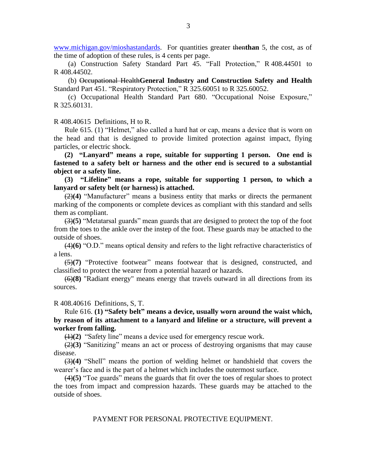[www.michigan.gov/mioshastandards.](http://www.michigan.gov/mioshastandards) For quantities greater then**than** 5, the cost, as of the time of adoption of these rules, is 4 cents per page.

 (a) Construction Safety Standard Part 45. "Fall Protection," R 408.44501 to R 408.44502.

 (b) Occupational Health**General Industry and Construction Safety and Health** Standard Part 451. "Respiratory Protection," R 325.60051 to R 325.60052.

 (c) Occupational Health Standard Part 680. "Occupational Noise Exposure," R 325.60131.

R 408.40615 Definitions, H to R.

Rule 615. (1) "Helmet," also called a hard hat or cap, means a device that is worn on the head and that is designed to provide limited protection against impact, flying particles, or electric shock.

**(2) "Lanyard" means a rope, suitable for supporting 1 person. One end is fastened to a safety belt or harness and the other end is secured to a substantial object or a safety line.**

**(3) "Lifeline" means a rope, suitable for supporting 1 person, to which a lanyard or safety belt (or harness) is attached.**

(2)**(4)** "Manufacturer" means a business entity that marks or directs the permanent marking of the components or complete devices as compliant with this standard and sells them as compliant.

(3)**(5)** "Metatarsal guards" mean guards that are designed to protect the top of the foot from the toes to the ankle over the instep of the foot. These guards may be attached to the outside of shoes.

(4)**(6)** "O.D." means optical density and refers to the light refractive characteristics of a lens.

(5)**(7)** "Protective footwear" means footwear that is designed, constructed, and classified to protect the wearer from a potential hazard or hazards.

(6)**(8)** "Radiant energy" means energy that travels outward in all directions from its sources.

R 408.40616 Definitions, S, T.

Rule 616. **(1) "Safety belt" means a device, usually worn around the waist which, by reason of its attachment to a lanyard and lifeline or a structure, will prevent a worker from falling.**

(1)**(2)** "Safety line" means a device used for emergency rescue work.

(2)**(3)** "Sanitizing" means an act or process of destroying organisms that may cause disease.

(3)**(4)** "Shell" means the portion of welding helmet or handshield that covers the wearer's face and is the part of a helmet which includes the outermost surface.

(4)**(5)** "Toe guards" means the guards that fit over the toes of regular shoes to protect the toes from impact and compression hazards. These guards may be attached to the outside of shoes.

PAYMENT FOR PERSONAL PROTECTIVE EQUIPMENT.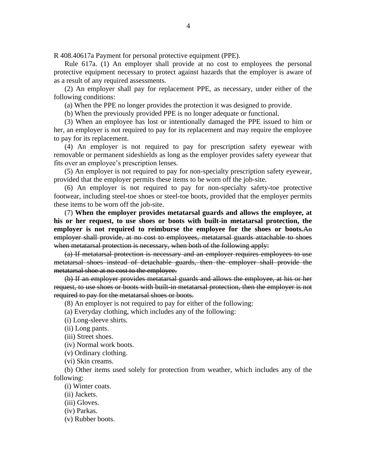R 408.40617a Payment for personal protective equipment (PPE).

Rule 617a. (1) An employer shall provide at no cost to employees the personal protective equipment necessary to protect against hazards that the employer is aware of as a result of any required assessments.

(2) An employer shall pay for replacement PPE, as necessary, under either of the following conditions:

(a) When the PPE no longer provides the protection it was designed to provide.

(b) When the previously provided PPE is no longer adequate or functional.

(3) When an employee has lost or intentionally damaged the PPE issued to him or her, an employer is not required to pay for its replacement and may require the employee to pay for its replacement.

(4) An employer is not required to pay for prescription safety eyewear with removable or permanent sideshields as long as the employer provides safety eyewear that fits over an employee's prescription lenses.

(5) An employer is not required to pay for non-specialty prescription safety eyewear, provided that the employer permits these items to be worn off the job-site.

(6) An employer is not required to pay for non-specialty safety-toe protective footwear, including steel-toe shoes or steel-toe boots, provided that the employer permits these items to be worn off the job-site.

(7) **When the employer provides metatarsal guards and allows the employee, at his or her request, to use shoes or boots with built-in metatarsal protection, the employer is not required to reimburse the employee for the shoes or boots.**An employer shall provide, at no cost to employees, metatarsal guards attachable to shoes when metatarsal protection is necessary, when both of the following apply:

(a) If metatarsal protection is necessary and an employer requires employees to use metatarsal shoes instead of detachable guards, then the employer shall provide the metatarsal shoe at no cost to the employee.

(b) If an employer provides metatarsal guards and allows the employee, at his or her request, to use shoes or boots with built-in metatarsal protection, then the employer is not required to pay for the metatarsal shoes or boots.

(8) An employer is not required to pay for either of the following:

(a) Everyday clothing, which includes any of the following:

(i) Long-sleeve shirts.

(ii) Long pants.

(iii) Street shoes.

(iv) Normal work boots.

(v) Ordinary clothing.

(vi) Skin creams.

(b) Other items used solely for protection from weather, which includes any of the following:

(i) Winter coats.

(ii) Jackets.

(iii) Gloves.

(iv) Parkas.

(v) Rubber boots.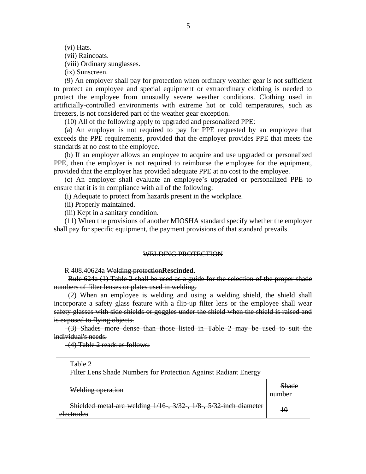(vi) Hats.

(vii) Raincoats.

(viii) Ordinary sunglasses.

(ix) Sunscreen.

(9) An employer shall pay for protection when ordinary weather gear is not sufficient to protect an employee and special equipment or extraordinary clothing is needed to protect the employee from unusually severe weather conditions. Clothing used in artificially-controlled environments with extreme hot or cold temperatures, such as freezers, is not considered part of the weather gear exception.

(10) All of the following apply to upgraded and personalized PPE:

(a) An employer is not required to pay for PPE requested by an employee that exceeds the PPE requirements, provided that the employer provides PPE that meets the standards at no cost to the employee.

(b) If an employer allows an employee to acquire and use upgraded or personalized PPE, then the employer is not required to reimburse the employee for the equipment, provided that the employer has provided adequate PPE at no cost to the employee.

(c) An employer shall evaluate an employee's upgraded or personalized PPE to ensure that it is in compliance with all of the following:

(i) Adequate to protect from hazards present in the workplace.

(ii) Properly maintained.

(iii) Kept in a sanitary condition.

(11) When the provisions of another MIOSHA standard specify whether the employer shall pay for specific equipment, the payment provisions of that standard prevails.

#### WELDING PROTECTION

R 408.40624a Welding protection**Rescinded**.

 Rule 624a (1) Table 2 shall be used as a guide for the selection of the proper shade numbers of filter lenses or plates used in welding.

 (2) When an employee is welding and using a welding shield, the shield shall incorporate a safety glass feature with a flip-up filter lens or the employee shall wear safety glasses with side shields or goggles under the shield when the shield is raised and is exposed to flying objects.

 (3) Shades more dense than those listed in Table 2 may be used to suit the individual's needs.

(4) Table 2 reads as follows:

| Table 2<br>Filter Lens Shade Numbers for Protection Against Radiant Energy      |                 |
|---------------------------------------------------------------------------------|-----------------|
| Welding operation                                                               | Shade<br>number |
| Shielded metal-arc welding 1/16-, 3/32-, 1/8-, 5/32-inch diameter<br>electrodes |                 |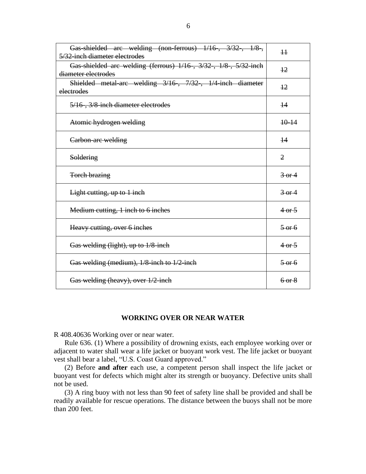| Gas-shielded are welding (non-ferrous) $1/16$ , $3/32$ , $1/8$ ,<br>5/32-inch diameter electrodes | $\overline{11}$             |
|---------------------------------------------------------------------------------------------------|-----------------------------|
| Gas-shielded arc welding (ferrous) 1/16-, 3/32-, 1/8-, 5/32-inch<br>diameter electrodes           | 12                          |
| Shielded metal-arc welding 3/16, 7/32, 1/4-inch diameter<br>electrodes                            | 12                          |
| 5/16, 3/8 inch diameter electrodes                                                                | 14                          |
| Atomic hydrogen welding                                                                           | $+0-14$                     |
| Carbon-are welding                                                                                | 44                          |
| Soldering                                                                                         | $\overline{2}$              |
| <b>Torch brazing</b>                                                                              | $3-0f$                      |
| Light cutting, up to 1 inch                                                                       | $\frac{3 \text{ or } 4}{ }$ |
| Medium cutting, 1 inch to 6 inches                                                                | $4-0.5$                     |
| Heavy cutting, over 6 inches                                                                      | $5-0.6$                     |
| Gas welding (light), up to 1/8-inch                                                               | $4\text{ or } 5$            |
| Gas welding (medium), 1/8-inch to 1/2-inch                                                        | $\frac{5 \text{ or } 6}{ }$ |
| Gas welding (heavy), over 1/2-inch                                                                | $6-0$                       |

#### **WORKING OVER OR NEAR WATER**

R 408.40636 Working over or near water.

Rule 636. (1) Where a possibility of drowning exists, each employee working over or adjacent to water shall wear a life jacket or buoyant work vest. The life jacket or buoyant vest shall bear a label, "U.S. Coast Guard approved."

(2) Before **and after** each use, a competent person shall inspect the life jacket or buoyant vest for defects which might alter its strength or buoyancy. Defective units shall not be used.

(3) A ring buoy with not less than 90 feet of safety line shall be provided and shall be readily available for rescue operations. The distance between the buoys shall not be more than 200 feet.